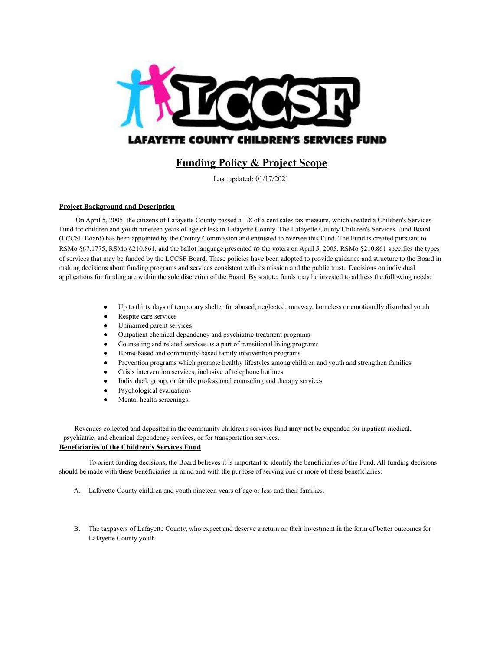

# **Funding Policy & Project Scope**

Last updated: 01/17/2021

## **Project Background and Description**

On April 5, 2005, the citizens of Lafayette County passed a 1/8 of a cent sales tax measure, which created a Children's Services Fund for children and youth nineteen years of age or less in Lafayette County. The Lafayette County Children's Services Fund Board (LCCSF Board) has been appointed by the County Commission and entrusted to oversee this Fund. The Fund is created pursuant to RSMo §67.1775, RSMo §210.861, and the ballot language presented *to* the voters on April 5, 2005. RSMo §210.861 specifies the types of services that may be funded by the LCCSF Board. These policies have been adopted to provide guidance and structure to the Board in making decisions about funding programs and services consistent with its mission and the public trust. Decisions on individual applications for funding are within the sole discretion of the Board. By statute, funds may be invested to address the following needs:

- Up to thirty days of temporary shelter for abused, neglected, runaway, homeless or emotionally disturbed youth
- Respite care services
- Unmarried parent services
- Outpatient chemical dependency and psychiatric treatment programs
- Counseling and related services as a part of transitional living programs
- Home-based and community-based family intervention programs
- Prevention programs which promote healthy lifestyles among children and youth and strengthen families
- Crisis intervention services, inclusive of telephone hotlines
- Individual, group, or family professional counseling and therapy services
- Psychological evaluations
- Mental health screenings.

Revenues collected and deposited in the community children's services fund **may not** be expended for inpatient medical, psychiatric, and chemical dependency services, or for transportation services. **Beneficiaries of the Children's Services Fund**

To orient funding decisions, the Board believes it is important to identify the beneficiaries of the Fund. All funding decisions should be made with these beneficiaries in mind and with the purpose of serving one or more of these beneficiaries:

- A. Lafayette County children and youth nineteen years of age or less and their families.
- B. The taxpayers of Lafayette County, who expect and deserve a return on their investment in the form of better outcomes for Lafayette County youth.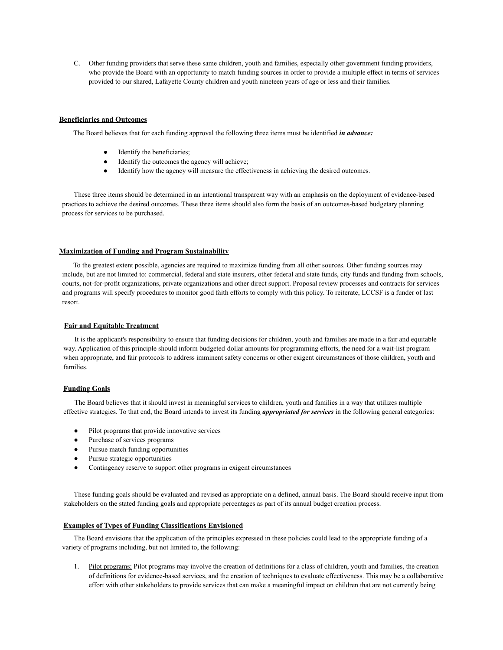C. Other funding providers that serve these same children, youth and families, especially other government funding providers, who provide the Board with an opportunity to match funding sources in order to provide a multiple effect in terms of services provided to our shared, Lafayette County children and youth nineteen years of age or less and their families.

#### **Beneficiaries and Outcomes**

The Board believes that for each funding approval the following three items must be identified *in advance:*

- Identify the beneficiaries;
- Identify the outcomes the agency will achieve;
- Identify how the agency will measure the effectiveness in achieving the desired outcomes.

These three items should be determined in an intentional transparent way with an emphasis on the deployment of evidence-based practices to achieve the desired outcomes. These three items should also form the basis of an outcomes-based budgetary planning process for services to be purchased.

#### **Maximization of Funding and Program Sustainability**

To the greatest extent possible, agencies are required to maximize funding from all other sources. Other funding sources may include, but are not limited to: commercial, federal and state insurers, other federal and state funds, city funds and funding from schools, courts, not-for-profit organizations, private organizations and other direct support. Proposal review processes and contracts for services and programs will specify procedures to monitor good faith efforts to comply with this policy. To reiterate, LCCSF is a funder of last resort.

#### **Fair and Equitable Treatment**

It is the applicant's responsibility to ensure that funding decisions for children, youth and families are made in a fair and equitable way. Application of this principle should inform budgeted dollar amounts for programming efforts, the need for a wait-list program when appropriate, and fair protocols to address imminent safety concerns or other exigent circumstances of those children, youth and families.

# **Funding Goals**

The Board believes that it should invest in meaningful services to children, youth and families in a way that utilizes multiple effective strategies. To that end, the Board intends to invest its funding *appropriated for services* in the following general categories:

- Pilot programs that provide innovative services
- Purchase of services programs
- Pursue match funding opportunities
- Pursue strategic opportunities
- Contingency reserve to support other programs in exigent circumstances

These funding goals should be evaluated and revised as appropriate on a defined, annual basis. The Board should receive input from stakeholders on the stated funding goals and appropriate percentages as part of its annual budget creation process.

# **Examples of Types of Funding Classifications Envisioned**

The Board envisions that the application of the principles expressed in these policies could lead to the appropriate funding of a variety of programs including, but not limited to, the following:

1. Pilot programs: Pilot programs may involve the creation of definitions for a class of children, youth and families, the creation of definitions for evidence-based services, and the creation of techniques to evaluate effectiveness. This may be a collaborative effort with other stakeholders to provide services that can make a meaningful impact on children that are not currently being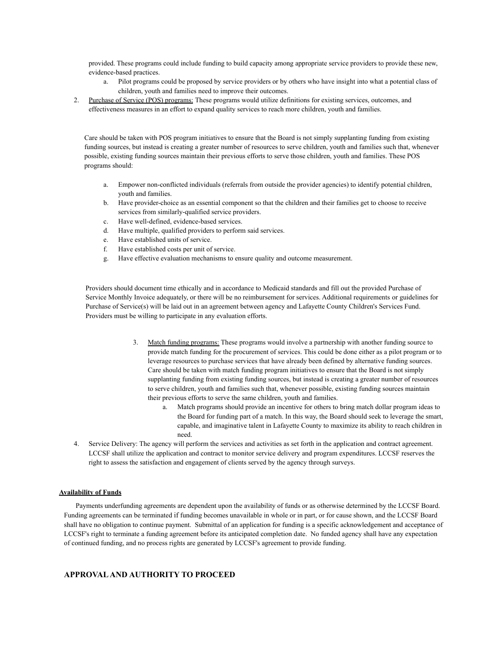provided. These programs could include funding to build capacity among appropriate service providers to provide these new, evidence-based practices.

- a. Pilot programs could be proposed by service providers or by others who have insight into what a potential class of children, youth and families need to improve their outcomes.
- 2. Purchase of Service (POS) programs: These programs would utilize definitions for existing services, outcomes, and effectiveness measures in an effort to expand quality services to reach more children, youth and families.

Care should be taken with POS program initiatives to ensure that the Board is not simply supplanting funding from existing funding sources, but instead is creating a greater number of resources to serve children, youth and families such that, whenever possible, existing funding sources maintain their previous efforts to serve those children, youth and families. These POS programs should:

- a. Empower non-conflicted individuals (referrals from outside the provider agencies) to identify potential children, youth and families.
- b. Have provider-choice as an essential component so that the children and their families get to choose to receive services from similarly-qualified service providers.
- c. Have well-defined, evidence-based services.
- d. Have multiple, qualified providers to perform said services.
- e. Have established units of service.
- f. Have established costs per unit of service.
- g. Have effective evaluation mechanisms to ensure quality and outcome measurement.

Providers should document time ethically and in accordance to Medicaid standards and fill out the provided Purchase of Service Monthly Invoice adequately, or there will be no reimbursement for services. Additional requirements or guidelines for Purchase of Service(s) will be laid out in an agreement between agency and Lafayette County Children's Services Fund. Providers must be willing to participate in any evaluation efforts.

- 3. Match funding programs: These programs would involve a partnership with another funding source to provide match funding for the procurement of services. This could be done either as a pilot program or to leverage resources to purchase services that have already been defined by alternative funding sources. Care should be taken with match funding program initiatives to ensure that the Board is not simply supplanting funding from existing funding sources, but instead is creating a greater number of resources to serve children, youth and families such that, whenever possible, existing funding sources maintain their previous efforts to serve the same children, youth and families.
	- a. Match programs should provide an incentive for others to bring match dollar program ideas to the Board for funding part of a match. In this way, the Board should seek to leverage the smart, capable, and imaginative talent in Lafayette County to maximize its ability to reach children in need.
- 4. Service Delivery: The agency will perform the services and activities as set forth in the application and contract agreement. LCCSF shall utilize the application and contract to monitor service delivery and program expenditures. LCCSF reserves the right to assess the satisfaction and engagement of clients served by the agency through surveys.

## **Availability of Funds**

Payments underfunding agreements are dependent upon the availability of funds or as otherwise determined by the LCCSF Board. Funding agreements can be terminated if funding becomes unavailable in whole or in part, or for cause shown, and the LCCSF Board shall have no obligation to continue payment. Submittal of an application for funding is a specific acknowledgement and acceptance of LCCSF's right to terminate a funding agreement before its anticipated completion date. No funded agency shall have any expectation of continued funding, and no process rights are generated by LCCSF's agreement to provide funding.

# **APPROVALAND AUTHORITY TO PROCEED**